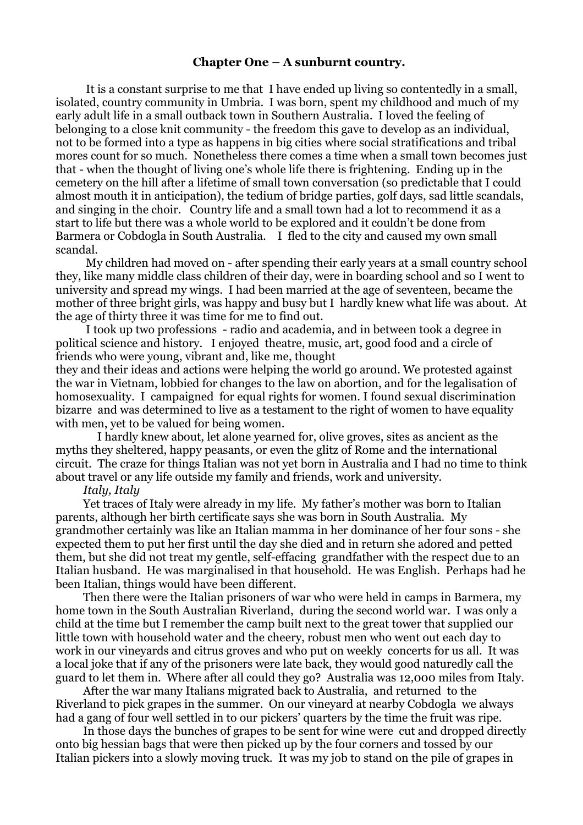# **Chapter One – A sunburnt country.**

 It is a constant surprise to me that I have ended up living so contentedly in a small, isolated, country community in Umbria. I was born, spent my childhood and much of my early adult life in a small outback town in Southern Australia. I loved the feeling of belonging to a close knit community - the freedom this gave to develop as an individual, not to be formed into a type as happens in big cities where social stratifications and tribal mores count for so much. Nonetheless there comes a time when a small town becomes just that - when the thought of living one's whole life there is frightening. Ending up in the cemetery on the hill after a lifetime of small town conversation (so predictable that I could almost mouth it in anticipation), the tedium of bridge parties, golf days, sad little scandals, and singing in the choir. Country life and a small town had a lot to recommend it as a start to life but there was a whole world to be explored and it couldn't be done from Barmera or Cobdogla in South Australia. I fled to the city and caused my own small scandal.

 My children had moved on - after spending their early years at a small country school they, like many middle class children of their day, were in boarding school and so I went to university and spread my wings. I had been married at the age of seventeen, became the mother of three bright girls, was happy and busy but I hardly knew what life was about. At the age of thirty three it was time for me to find out.

 I took up two professions - radio and academia, and in between took a degree in political science and history. I enjoyed theatre, music, art, good food and a circle of friends who were young, vibrant and, like me, thought

they and their ideas and actions were helping the world go around. We protested against the war in Vietnam, lobbied for changes to the law on abortion, and for the legalisation of homosexuality. I campaigned for equal rights for women. I found sexual discrimination bizarre and was determined to live as a testament to the right of women to have equality with men, yet to be valued for being women.

 I hardly knew about, let alone yearned for, olive groves, sites as ancient as the myths they sheltered, happy peasants, or even the glitz of Rome and the international circuit. The craze for things Italian was not yet born in Australia and I had no time to think about travel or any life outside my family and friends, work and university.

### *Italy, Italy*

Yet traces of Italy were already in my life. My father's mother was born to Italian parents, although her birth certificate says she was born in South Australia. My grandmother certainly was like an Italian mamma in her dominance of her four sons - she expected them to put her first until the day she died and in return she adored and petted them, but she did not treat my gentle, self-effacing grandfather with the respect due to an Italian husband. He was marginalised in that household. He was English. Perhaps had he been Italian, things would have been different.

Then there were the Italian prisoners of war who were held in camps in Barmera, my home town in the South Australian Riverland, during the second world war. I was only a child at the time but I remember the camp built next to the great tower that supplied our little town with household water and the cheery, robust men who went out each day to work in our vineyards and citrus groves and who put on weekly concerts for us all. It was a local joke that if any of the prisoners were late back, they would good naturedly call the guard to let them in. Where after all could they go? Australia was 12,000 miles from Italy.

After the war many Italians migrated back to Australia, and returned to the Riverland to pick grapes in the summer. On our vineyard at nearby Cobdogla we always had a gang of four well settled in to our pickers' quarters by the time the fruit was ripe.

In those days the bunches of grapes to be sent for wine were cut and dropped directly onto big hessian bags that were then picked up by the four corners and tossed by our Italian pickers into a slowly moving truck. It was my job to stand on the pile of grapes in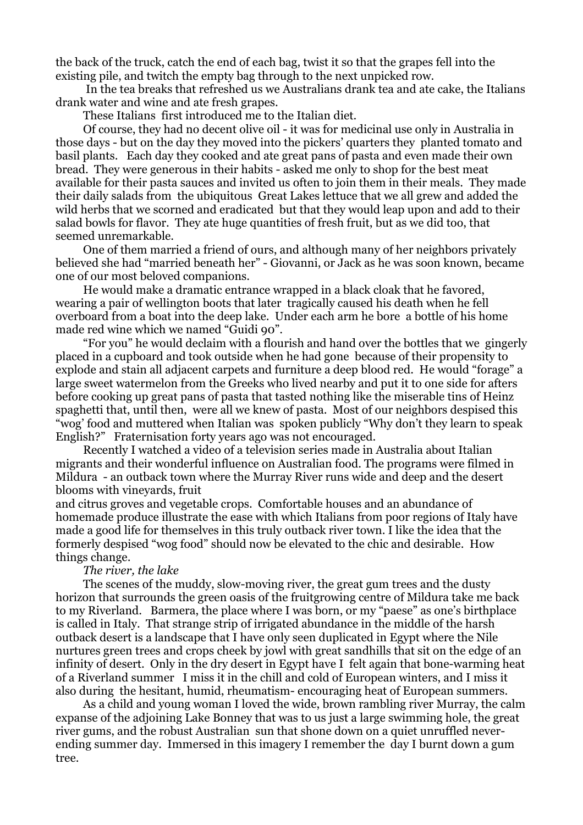the back of the truck, catch the end of each bag, twist it so that the grapes fell into the existing pile, and twitch the empty bag through to the next unpicked row.

 In the tea breaks that refreshed us we Australians drank tea and ate cake, the Italians drank water and wine and ate fresh grapes.

These Italians first introduced me to the Italian diet.

Of course, they had no decent olive oil - it was for medicinal use only in Australia in those days - but on the day they moved into the pickers' quarters they planted tomato and basil plants. Each day they cooked and ate great pans of pasta and even made their own bread. They were generous in their habits - asked me only to shop for the best meat available for their pasta sauces and invited us often to join them in their meals. They made their daily salads from the ubiquitous Great Lakes lettuce that we all grew and added the wild herbs that we scorned and eradicated but that they would leap upon and add to their salad bowls for flavor. They ate huge quantities of fresh fruit, but as we did too, that seemed unremarkable.

One of them married a friend of ours, and although many of her neighbors privately believed she had "married beneath her" - Giovanni, or Jack as he was soon known, became one of our most beloved companions.

He would make a dramatic entrance wrapped in a black cloak that he favored, wearing a pair of wellington boots that later tragically caused his death when he fell overboard from a boat into the deep lake. Under each arm he bore a bottle of his home made red wine which we named "Guidi 90".

"For you" he would declaim with a flourish and hand over the bottles that we gingerly placed in a cupboard and took outside when he had gone because of their propensity to explode and stain all adjacent carpets and furniture a deep blood red. He would "forage" a large sweet watermelon from the Greeks who lived nearby and put it to one side for afters before cooking up great pans of pasta that tasted nothing like the miserable tins of Heinz spaghetti that, until then, were all we knew of pasta. Most of our neighbors despised this "wog' food and muttered when Italian was spoken publicly "Why don't they learn to speak English?" Fraternisation forty years ago was not encouraged.

Recently I watched a video of a television series made in Australia about Italian migrants and their wonderful influence on Australian food. The programs were filmed in Mildura - an outback town where the Murray River runs wide and deep and the desert blooms with vineyards, fruit

and citrus groves and vegetable crops. Comfortable houses and an abundance of homemade produce illustrate the ease with which Italians from poor regions of Italy have made a good life for themselves in this truly outback river town. I like the idea that the formerly despised "wog food" should now be elevated to the chic and desirable. How things change.

### *The river, the lake*

The scenes of the muddy, slow-moving river, the great gum trees and the dusty horizon that surrounds the green oasis of the fruitgrowing centre of Mildura take me back to my Riverland. Barmera, the place where I was born, or my "paese" as one's birthplace is called in Italy. That strange strip of irrigated abundance in the middle of the harsh outback desert is a landscape that I have only seen duplicated in Egypt where the Nile nurtures green trees and crops cheek by jowl with great sandhills that sit on the edge of an infinity of desert. Only in the dry desert in Egypt have I felt again that bone-warming heat of a Riverland summer I miss it in the chill and cold of European winters, and I miss it also during the hesitant, humid, rheumatism- encouraging heat of European summers.

As a child and young woman I loved the wide, brown rambling river Murray, the calm expanse of the adjoining Lake Bonney that was to us just a large swimming hole, the great river gums, and the robust Australian sun that shone down on a quiet unruffled neverending summer day. Immersed in this imagery I remember the day I burnt down a gum tree.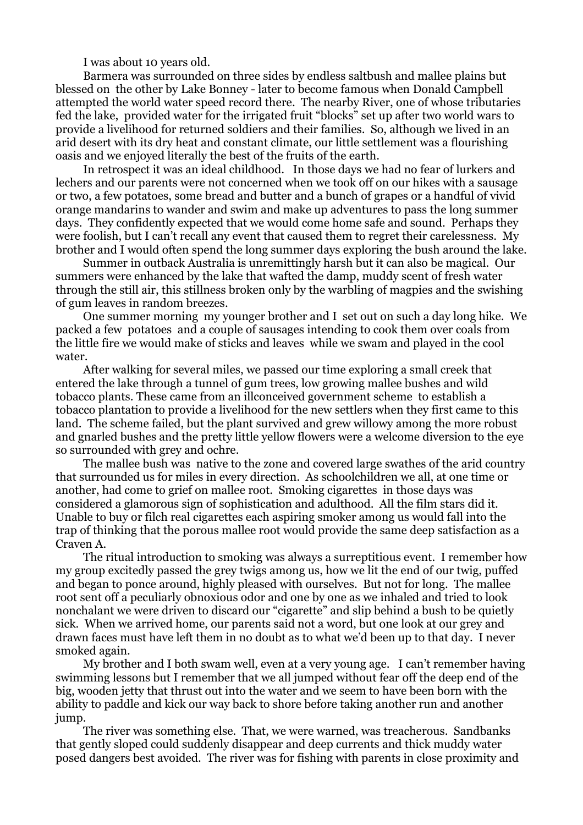I was about 10 years old.

Barmera was surrounded on three sides by endless saltbush and mallee plains but blessed on the other by Lake Bonney - later to become famous when Donald Campbell attempted the world water speed record there. The nearby River, one of whose tributaries fed the lake, provided water for the irrigated fruit "blocks" set up after two world wars to provide a livelihood for returned soldiers and their families. So, although we lived in an arid desert with its dry heat and constant climate, our little settlement was a flourishing oasis and we enjoyed literally the best of the fruits of the earth.

In retrospect it was an ideal childhood. In those days we had no fear of lurkers and lechers and our parents were not concerned when we took off on our hikes with a sausage or two, a few potatoes, some bread and butter and a bunch of grapes or a handful of vivid orange mandarins to wander and swim and make up adventures to pass the long summer days. They confidently expected that we would come home safe and sound. Perhaps they were foolish, but I can't recall any event that caused them to regret their carelessness. My brother and I would often spend the long summer days exploring the bush around the lake.

Summer in outback Australia is unremittingly harsh but it can also be magical. Our summers were enhanced by the lake that wafted the damp, muddy scent of fresh water through the still air, this stillness broken only by the warbling of magpies and the swishing of gum leaves in random breezes.

One summer morning my younger brother and I set out on such a day long hike. We packed a few potatoes and a couple of sausages intending to cook them over coals from the little fire we would make of sticks and leaves while we swam and played in the cool water.

After walking for several miles, we passed our time exploring a small creek that entered the lake through a tunnel of gum trees, low growing mallee bushes and wild tobacco plants. These came from an illconceived government scheme to establish a tobacco plantation to provide a livelihood for the new settlers when they first came to this land. The scheme failed, but the plant survived and grew willowy among the more robust and gnarled bushes and the pretty little yellow flowers were a welcome diversion to the eye so surrounded with grey and ochre.

The mallee bush was native to the zone and covered large swathes of the arid country that surrounded us for miles in every direction. As schoolchildren we all, at one time or another, had come to grief on mallee root. Smoking cigarettes in those days was considered a glamorous sign of sophistication and adulthood. All the film stars did it. Unable to buy or filch real cigarettes each aspiring smoker among us would fall into the trap of thinking that the porous mallee root would provide the same deep satisfaction as a Craven A.

The ritual introduction to smoking was always a surreptitious event. I remember how my group excitedly passed the grey twigs among us, how we lit the end of our twig, puffed and began to ponce around, highly pleased with ourselves. But not for long. The mallee root sent off a peculiarly obnoxious odor and one by one as we inhaled and tried to look nonchalant we were driven to discard our "cigarette" and slip behind a bush to be quietly sick. When we arrived home, our parents said not a word, but one look at our grey and drawn faces must have left them in no doubt as to what we'd been up to that day. I never smoked again.

My brother and I both swam well, even at a very young age. I can't remember having swimming lessons but I remember that we all jumped without fear off the deep end of the big, wooden jetty that thrust out into the water and we seem to have been born with the ability to paddle and kick our way back to shore before taking another run and another jump.

The river was something else. That, we were warned, was treacherous. Sandbanks that gently sloped could suddenly disappear and deep currents and thick muddy water posed dangers best avoided. The river was for fishing with parents in close proximity and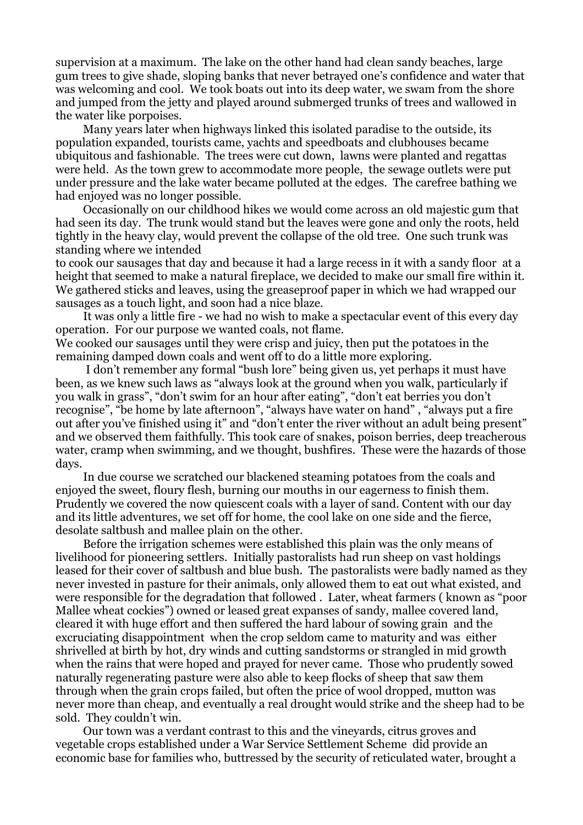supervision at a maximum. The lake on the other hand had clean sandy beaches, large gum trees to give shade, sloping banks that never betrayed one's confidence and water that was welcoming and cool. We took boats out into its deep water, we swam from the shore and jumped from the jetty and played around submerged trunks of trees and wallowed in the water like porpoises.

Many years later when highways linked this isolated paradise to the outside, its population expanded, tourists came, yachts and speedboats and clubhouses became ubiquitous and fashionable. The trees were cut down, lawns were planted and regattas were held. As the town grew to accommodate more people, the sewage outlets were put under pressure and the lake water became polluted at the edges. The carefree bathing we had enjoyed was no longer possible.

Occasionally on our childhood hikes we would come across an old majestic gum that had seen its day. The trunk would stand but the leaves were gone and only the roots, held tightly in the heavy clay, would prevent the collapse of the old tree. One such trunk was standing where we intended

to cook our sausages that day and because it had a large recess in it with a sandy floor at a height that seemed to make a natural fireplace, we decided to make our small fire within it. We gathered sticks and leaves, using the greaseproof paper in which we had wrapped our sausages as a touch light, and soon had a nice blaze.

It was only a little fire - we had no wish to make a spectacular event of this every day operation. For our purpose we wanted coals, not flame. We cooked our sausages until they were crisp and juicy, then put the potatoes in the

remaining damped down coals and went off to do a little more exploring.

 I don't remember any formal "bush lore" being given us, yet perhaps it must have been, as we knew such laws as "always look at the ground when you walk, particularly if you walk in grass", "don't swim for an hour after eating", "don't eat berries you don't recognise", "be home by late afternoon", "always have water on hand" , "always put a fire out after you've finished using it" and "don't enter the river without an adult being present" and we observed them faithfully. This took care of snakes, poison berries, deep treacherous water, cramp when swimming, and we thought, bushfires. These were the hazards of those days.

In due course we scratched our blackened steaming potatoes from the coals and enjoyed the sweet, floury flesh, burning our mouths in our eagerness to finish them. Prudently we covered the now quiescent coals with a layer of sand. Content with our day and its little adventures, we set off for home, the cool lake on one side and the fierce, desolate saltbush and mallee plain on the other.

Before the irrigation schemes were established this plain was the only means of livelihood for pioneering settlers. Initially pastoralists had run sheep on vast holdings leased for their cover of saltbush and blue bush. The pastoralists were badly named as they never invested in pasture for their animals, only allowed them to eat out what existed, and were responsible for the degradation that followed . Later, wheat farmers ( known as "poor Mallee wheat cockies") owned or leased great expanses of sandy, mallee covered land, cleared it with huge effort and then suffered the hard labour of sowing grain and the excruciating disappointment when the crop seldom came to maturity and was either shrivelled at birth by hot, dry winds and cutting sandstorms or strangled in mid growth when the rains that were hoped and prayed for never came. Those who prudently sowed naturally regenerating pasture were also able to keep flocks of sheep that saw them through when the grain crops failed, but often the price of wool dropped, mutton was never more than cheap, and eventually a real drought would strike and the sheep had to be sold. They couldn't win.

Our town was a verdant contrast to this and the vineyards, citrus groves and vegetable crops established under a War Service Settlement Scheme did provide an economic base for families who, buttressed by the security of reticulated water, brought a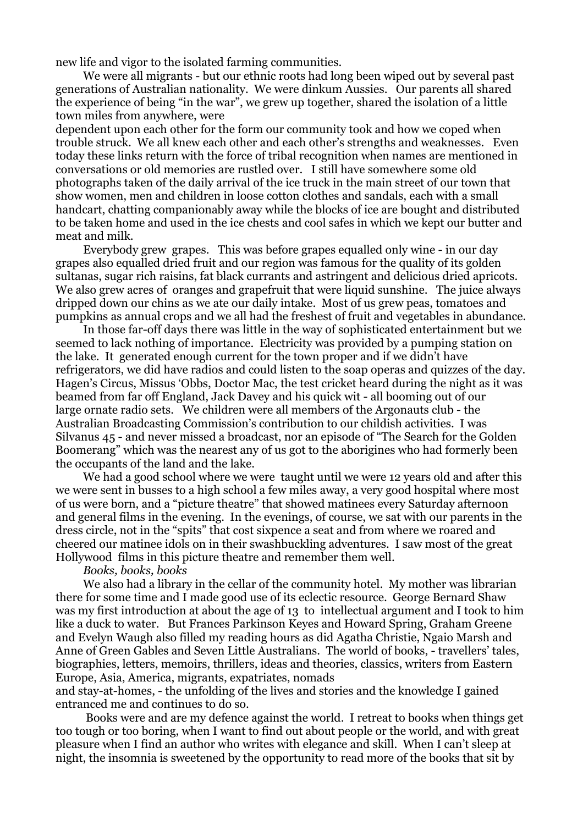new life and vigor to the isolated farming communities.

We were all migrants - but our ethnic roots had long been wiped out by several past generations of Australian nationality. We were dinkum Aussies. Our parents all shared the experience of being "in the war", we grew up together, shared the isolation of a little town miles from anywhere, were

dependent upon each other for the form our community took and how we coped when trouble struck. We all knew each other and each other's strengths and weaknesses. Even today these links return with the force of tribal recognition when names are mentioned in conversations or old memories are rustled over. I still have somewhere some old photographs taken of the daily arrival of the ice truck in the main street of our town that show women, men and children in loose cotton clothes and sandals, each with a small handcart, chatting companionably away while the blocks of ice are bought and distributed to be taken home and used in the ice chests and cool safes in which we kept our butter and meat and milk.

Everybody grew grapes. This was before grapes equalled only wine - in our day grapes also equalled dried fruit and our region was famous for the quality of its golden sultanas, sugar rich raisins, fat black currants and astringent and delicious dried apricots. We also grew acres of oranges and grapefruit that were liquid sunshine. The juice always dripped down our chins as we ate our daily intake. Most of us grew peas, tomatoes and pumpkins as annual crops and we all had the freshest of fruit and vegetables in abundance.

In those far-off days there was little in the way of sophisticated entertainment but we seemed to lack nothing of importance. Electricity was provided by a pumping station on the lake. It generated enough current for the town proper and if we didn't have refrigerators, we did have radios and could listen to the soap operas and quizzes of the day. Hagen's Circus, Missus 'Obbs, Doctor Mac, the test cricket heard during the night as it was beamed from far off England, Jack Davey and his quick wit - all booming out of our large ornate radio sets. We children were all members of the Argonauts club - the Australian Broadcasting Commission's contribution to our childish activities. I was Silvanus 45 - and never missed a broadcast, nor an episode of "The Search for the Golden Boomerang" which was the nearest any of us got to the aborigines who had formerly been the occupants of the land and the lake.

We had a good school where we were taught until we were 12 years old and after this we were sent in busses to a high school a few miles away, a very good hospital where most of us were born, and a "picture theatre" that showed matinees every Saturday afternoon and general films in the evening. In the evenings, of course, we sat with our parents in the dress circle, not in the "spits" that cost sixpence a seat and from where we roared and cheered our matinee idols on in their swashbuckling adventures. I saw most of the great Hollywood films in this picture theatre and remember them well.

#### *Books, books, books*

We also had a library in the cellar of the community hotel. My mother was librarian there for some time and I made good use of its eclectic resource. George Bernard Shaw was my first introduction at about the age of 13 to intellectual argument and I took to him like a duck to water. But Frances Parkinson Keyes and Howard Spring, Graham Greene and Evelyn Waugh also filled my reading hours as did Agatha Christie, Ngaio Marsh and Anne of Green Gables and Seven Little Australians. The world of books, - travellers' tales, biographies, letters, memoirs, thrillers, ideas and theories, classics, writers from Eastern Europe, Asia, America, migrants, expatriates, nomads

and stay-at-homes, - the unfolding of the lives and stories and the knowledge I gained entranced me and continues to do so.

 Books were and are my defence against the world. I retreat to books when things get too tough or too boring, when I want to find out about people or the world, and with great pleasure when I find an author who writes with elegance and skill. When I can't sleep at night, the insomnia is sweetened by the opportunity to read more of the books that sit by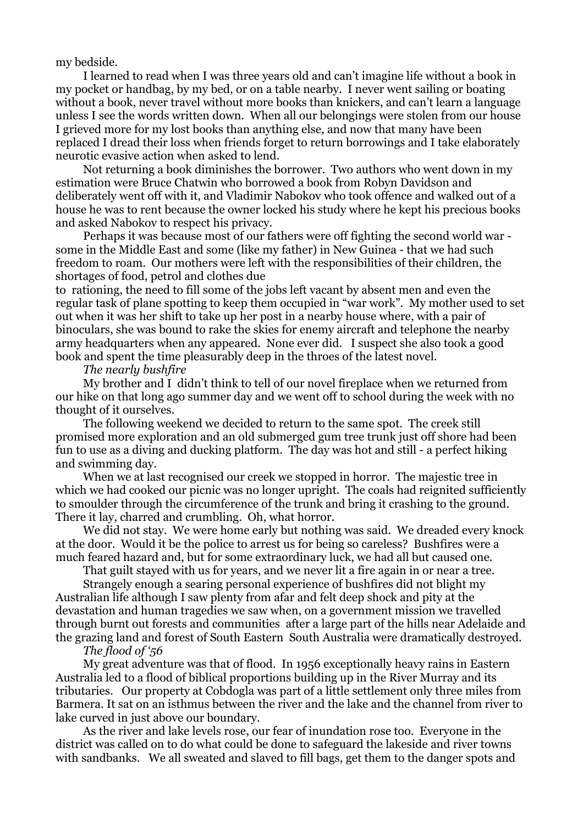my bedside.

I learned to read when I was three years old and can't imagine life without a book in my pocket or handbag, by my bed, or on a table nearby. I never went sailing or boating without a book, never travel without more books than knickers, and can't learn a language unless I see the words written down. When all our belongings were stolen from our house I grieved more for my lost books than anything else, and now that many have been replaced I dread their loss when friends forget to return borrowings and I take elaborately neurotic evasive action when asked to lend.

Not returning a book diminishes the borrower. Two authors who went down in my estimation were Bruce Chatwin who borrowed a book from Robyn Davidson and deliberately went off with it, and Vladimir Nabokov who took offence and walked out of a house he was to rent because the owner locked his study where he kept his precious books and asked Nabokov to respect his privacy.

Perhaps it was because most of our fathers were off fighting the second world war some in the Middle East and some (like my father) in New Guinea - that we had such freedom to roam. Our mothers were left with the responsibilities of their children, the shortages of food, petrol and clothes due

to rationing, the need to fill some of the jobs left vacant by absent men and even the regular task of plane spotting to keep them occupied in "war work". My mother used to set out when it was her shift to take up her post in a nearby house where, with a pair of binoculars, she was bound to rake the skies for enemy aircraft and telephone the nearby army headquarters when any appeared. None ever did. I suspect she also took a good book and spent the time pleasurably deep in the throes of the latest novel.

#### *The nearly bushfire*

My brother and I didn't think to tell of our novel fireplace when we returned from our hike on that long ago summer day and we went off to school during the week with no thought of it ourselves.

The following weekend we decided to return to the same spot. The creek still promised more exploration and an old submerged gum tree trunk just off shore had been fun to use as a diving and ducking platform. The day was hot and still - a perfect hiking and swimming day.

When we at last recognised our creek we stopped in horror. The majestic tree in which we had cooked our picnic was no longer upright. The coals had reignited sufficiently to smoulder through the circumference of the trunk and bring it crashing to the ground. There it lay, charred and crumbling. Oh, what horror.

We did not stay. We were home early but nothing was said. We dreaded every knock at the door. Would it be the police to arrest us for being so careless? Bushfires were a much feared hazard and, but for some extraordinary luck, we had all but caused one.

That guilt stayed with us for years, and we never lit a fire again in or near a tree.

Strangely enough a searing personal experience of bushfires did not blight my Australian life although I saw plenty from afar and felt deep shock and pity at the devastation and human tragedies we saw when, on a government mission we travelled through burnt out forests and communities after a large part of the hills near Adelaide and the grazing land and forest of South Eastern South Australia were dramatically destroyed.

## *The flood of '56*

My great adventure was that of flood. In 1956 exceptionally heavy rains in Eastern Australia led to a flood of biblical proportions building up in the River Murray and its tributaries. Our property at Cobdogla was part of a little settlement only three miles from Barmera. It sat on an isthmus between the river and the lake and the channel from river to lake curved in just above our boundary.

As the river and lake levels rose, our fear of inundation rose too. Everyone in the district was called on to do what could be done to safeguard the lakeside and river towns with sandbanks. We all sweated and slaved to fill bags, get them to the danger spots and